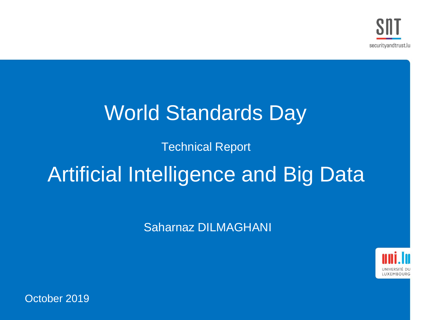## World Standards Day

#### Technical Report

## Artificial Intelligence and Big Data

Saharnaz DILMAGHANI



October 2019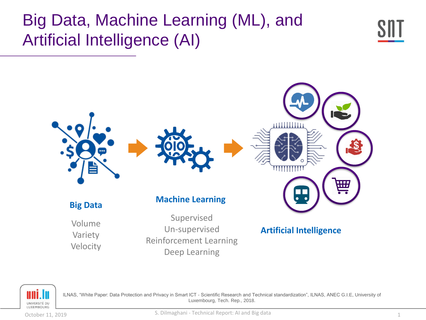### Big Data, Machine Learning (ML), and Artificial Intelligence (AI)







ILNAS, "White Paper: Data Protection and Privacy in Smart ICT - Scientific Research and Technical standardization", ILNAS, ANEC G.I.E, University of Luxembourg, Tech. Rep., 2018.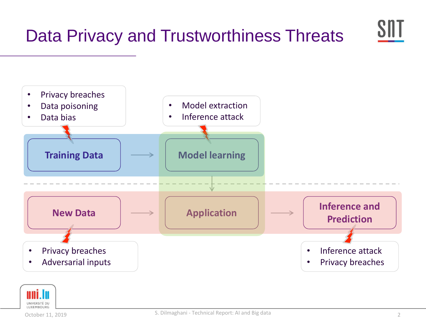

• Adversarial inputs



Privacy breaches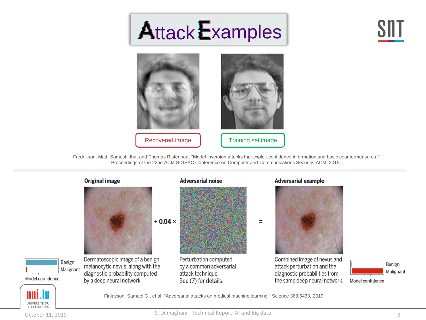# Attack Examples





Fredrikson, Matt, Somesh Jha, and Thomas Ristenpart. "Model inversion attacks that exploit confidence information and basic countermeasures." Proceedings of the 22nd ACM SIGSAC Conference on Computer and Communications Security. ACM, 2015.



UNIVERSITÉ DU LUXEMBOURG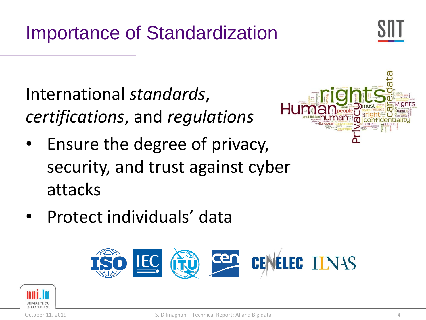Importance of Standardization



International *standards*, *certifications*, and *regulations*

Ensure the degree of privacy, security, and trust against cyber attacks



• Protect individuals' data



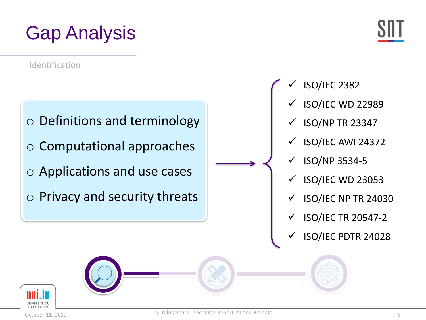## Gap Analysis

Identification



- o Computational approaches
- o Applications and use cases
- o Privacy and security threats

- ✓ ISO/IEC 2382
	- ISO/IEC WD 22989
	- $\checkmark$  ISO/NP TR 23347
	- ✓ ISO/IEC AWI 24372
	- ✓ ISO/NP 3534-5
	- ISO/IEC WD 23053
	- $\checkmark$  ISO/IEC NP TR 24030
	- ✓ ISO/IEC TR 20547-2
	- ✓ ISO/IEC PDTR 24028

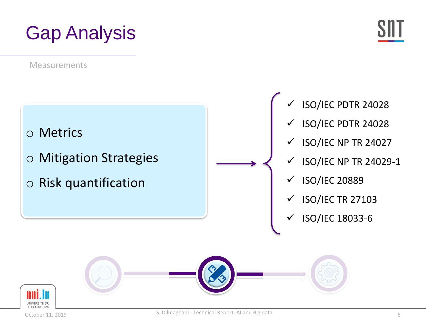## Gap Analysis

Measurements



- ISO/IEC PDTR 24028
- ✓ ISO/IEC PDTR 24028
- $\checkmark$  ISO/IEC NP TR 24027
- $\checkmark$  ISO/IEC NP TR 24029-1
- ✓ ISO/IEC 20889
- $\checkmark$  ISO/IEC TR 27103
- ✓ ISO/IEC 18033-6

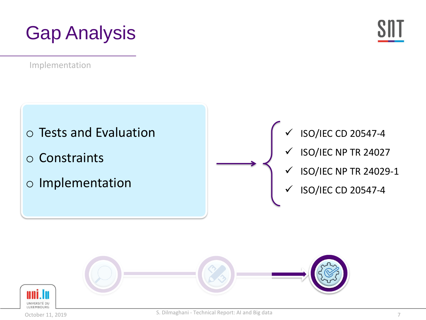## Gap Analysis

Implementation